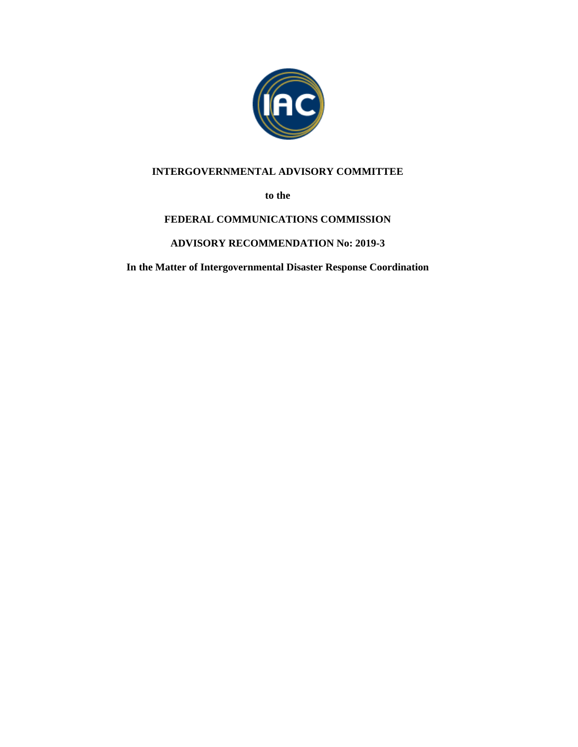

## **INTERGOVERNMENTAL ADVISORY COMMITTEE**

**to the**

# **FEDERAL COMMUNICATIONS COMMISSION**

## **ADVISORY RECOMMENDATION No: 2019-3**

**In the Matter of Intergovernmental Disaster Response Coordination**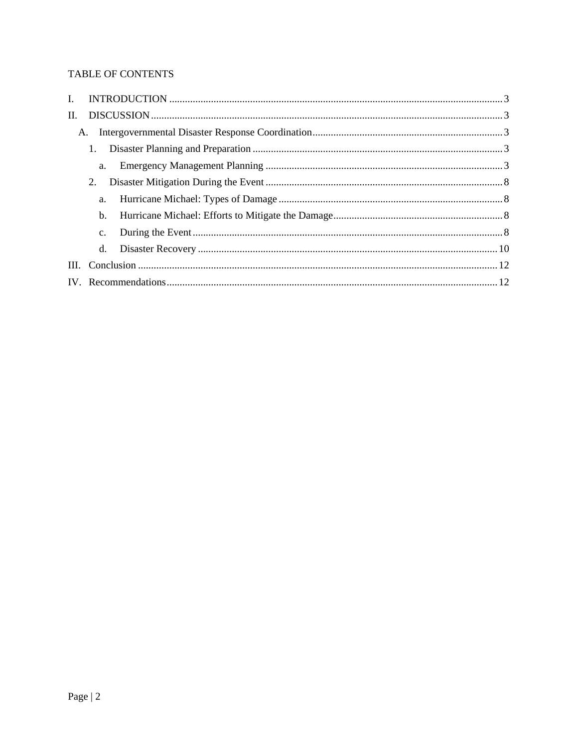## TABLE OF CONTENTS

| I.   |    |  |
|------|----|--|
| II.  |    |  |
| A.   |    |  |
|      |    |  |
|      | a. |  |
|      | 2. |  |
|      | a. |  |
|      | b. |  |
|      | c. |  |
|      | d. |  |
| III. |    |  |
|      |    |  |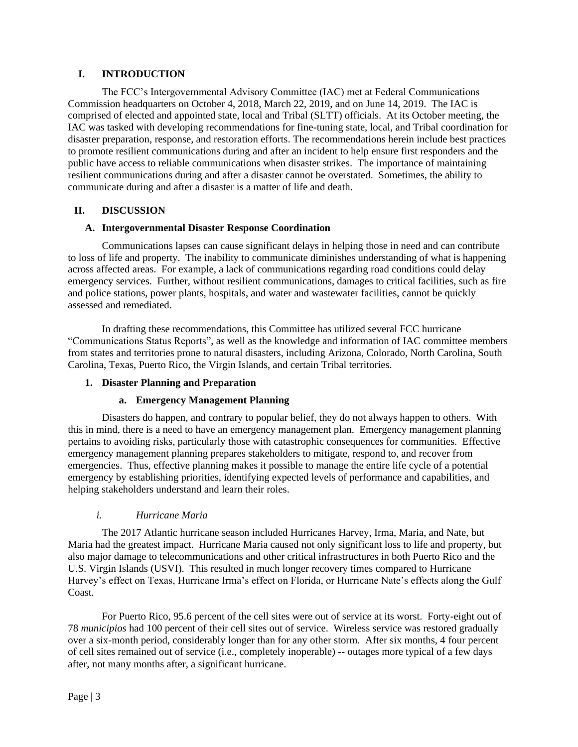## <span id="page-2-0"></span>**I. INTRODUCTION**

The FCC's Intergovernmental Advisory Committee (IAC) met at Federal Communications Commission headquarters on October 4, 2018, March 22, 2019, and on June 14, 2019. The IAC is comprised of elected and appointed state, local and Tribal (SLTT) officials. At its October meeting, the IAC was tasked with developing recommendations for fine-tuning state, local, and Tribal coordination for disaster preparation, response, and restoration efforts. The recommendations herein include best practices to promote resilient communications during and after an incident to help ensure first responders and the public have access to reliable communications when disaster strikes. The importance of maintaining resilient communications during and after a disaster cannot be overstated. Sometimes, the ability to communicate during and after a disaster is a matter of life and death.

## <span id="page-2-1"></span>**II. DISCUSSION**

## **A. Intergovernmental Disaster Response Coordination**

<span id="page-2-2"></span>Communications lapses can cause significant delays in helping those in need and can contribute to loss of life and property. The inability to communicate diminishes understanding of what is happening across affected areas. For example, a lack of communications regarding road conditions could delay emergency services. Further, without resilient communications, damages to critical facilities, such as fire and police stations, power plants, hospitals, and water and wastewater facilities, cannot be quickly assessed and remediated.

In drafting these recommendations, this Committee has utilized several FCC hurricane "Communications Status Reports", as well as the knowledge and information of IAC committee members from states and territories prone to natural disasters, including Arizona, Colorado, North Carolina, South Carolina, Texas, Puerto Rico, the Virgin Islands, and certain Tribal territories.

## <span id="page-2-3"></span>**1. Disaster Planning and Preparation**

## **a. Emergency Management Planning**

<span id="page-2-4"></span>Disasters do happen, and contrary to popular belief, they do not always happen to others. With this in mind, there is a need to have an emergency management plan. Emergency management planning pertains to avoiding risks, particularly those with catastrophic consequences for communities. Effective emergency management planning prepares stakeholders to mitigate, respond to, and recover from emergencies. Thus, effective planning makes it possible to manage the entire life cycle of a potential emergency by establishing priorities, identifying expected levels of performance and capabilities, and helping stakeholders understand and learn their roles.

## *i. Hurricane Maria*

The 2017 Atlantic hurricane season included Hurricanes Harvey, Irma, Maria, and Nate, but Maria had the greatest impact. Hurricane Maria caused not only significant loss to life and property, but also major damage to telecommunications and other critical infrastructures in both Puerto Rico and the U.S. Virgin Islands (USVI). This resulted in much longer recovery times compared to Hurricane Harvey's effect on Texas, Hurricane Irma's effect on Florida, or Hurricane Nate's effects along the Gulf Coast.

For Puerto Rico, 95.6 percent of the cell sites were out of service at its worst. Forty-eight out of 78 *municipios* had 100 percent of their cell sites out of service. Wireless service was restored gradually over a six-month period, considerably longer than for any other storm. After six months, 4 four percent of cell sites remained out of service (i.e., completely inoperable) -- outages more typical of a few days after, not many months after, a significant hurricane.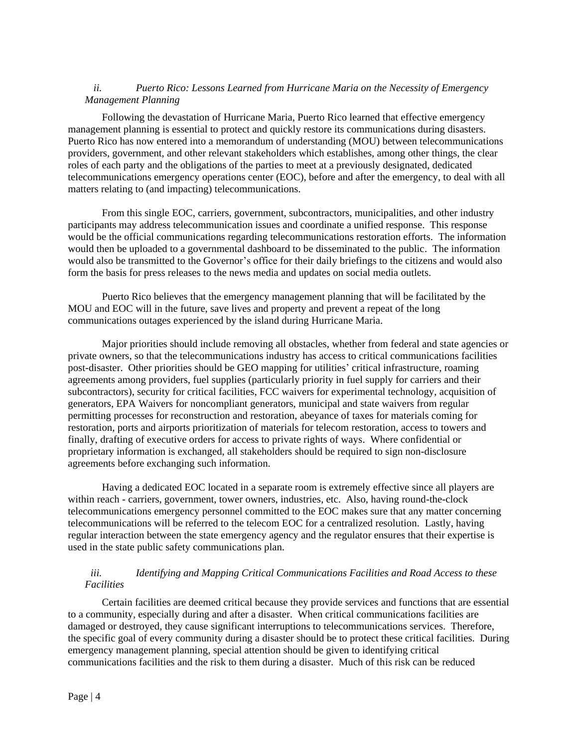## *ii. Puerto Rico: Lessons Learned from Hurricane Maria on the Necessity of Emergency Management Planning*

Following the devastation of Hurricane Maria, Puerto Rico learned that effective emergency management planning is essential to protect and quickly restore its communications during disasters. Puerto Rico has now entered into a memorandum of understanding (MOU) between telecommunications providers, government, and other relevant stakeholders which establishes, among other things, the clear roles of each party and the obligations of the parties to meet at a previously designated, dedicated telecommunications emergency operations center (EOC), before and after the emergency, to deal with all matters relating to (and impacting) telecommunications.

From this single EOC, carriers, government, subcontractors, municipalities, and other industry participants may address telecommunication issues and coordinate a unified response. This response would be the official communications regarding telecommunications restoration efforts. The information would then be uploaded to a governmental dashboard to be disseminated to the public. The information would also be transmitted to the Governor's office for their daily briefings to the citizens and would also form the basis for press releases to the news media and updates on social media outlets.

Puerto Rico believes that the emergency management planning that will be facilitated by the MOU and EOC will in the future, save lives and property and prevent a repeat of the long communications outages experienced by the island during Hurricane Maria.

Major priorities should include removing all obstacles, whether from federal and state agencies or private owners, so that the telecommunications industry has access to critical communications facilities post-disaster. Other priorities should be GEO mapping for utilities' critical infrastructure, roaming agreements among providers, fuel supplies (particularly priority in fuel supply for carriers and their subcontractors), security for critical facilities, FCC waivers for experimental technology, acquisition of generators, EPA Waivers for noncompliant generators, municipal and state waivers from regular permitting processes for reconstruction and restoration, abeyance of taxes for materials coming for restoration, ports and airports prioritization of materials for telecom restoration, access to towers and finally, drafting of executive orders for access to private rights of ways. Where confidential or proprietary information is exchanged, all stakeholders should be required to sign non-disclosure agreements before exchanging such information.

Having a dedicated EOC located in a separate room is extremely effective since all players are within reach - carriers, government, tower owners, industries, etc. Also, having round-the-clock telecommunications emergency personnel committed to the EOC makes sure that any matter concerning telecommunications will be referred to the telecom EOC for a centralized resolution. Lastly, having regular interaction between the state emergency agency and the regulator ensures that their expertise is used in the state public safety communications plan.

## *iii. Identifying and Mapping Critical Communications Facilities and Road Access to these Facilities*

Certain facilities are deemed critical because they provide services and functions that are essential to a community, especially during and after a disaster. When critical communications facilities are damaged or destroyed, they cause significant interruptions to telecommunications services. Therefore, the specific goal of every community during a disaster should be to protect these critical facilities. During emergency management planning, special attention should be given to identifying critical communications facilities and the risk to them during a disaster. Much of this risk can be reduced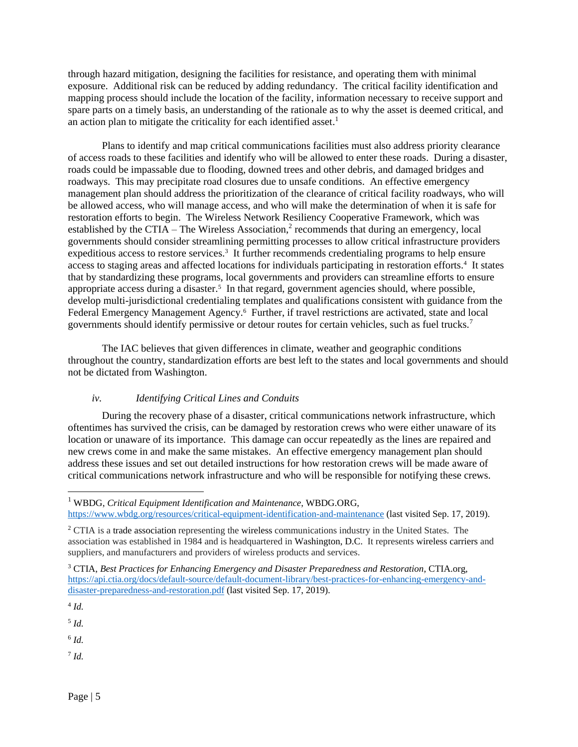through hazard mitigation, designing the facilities for resistance, and operating them with minimal exposure. Additional risk can be reduced by adding redundancy. The critical facility identification and mapping process should include the location of the facility, information necessary to receive support and spare parts on a timely basis, an understanding of the rationale as to why the asset is deemed critical, and an action plan to mitigate the criticality for each identified asset.<sup>1</sup>

Plans to identify and map critical communications facilities must also address priority clearance of access roads to these facilities and identify who will be allowed to enter these roads. During a disaster, roads could be impassable due to flooding, downed trees and other debris, and damaged bridges and roadways. This may precipitate road closures due to unsafe conditions. An effective emergency management plan should address the prioritization of the clearance of critical facility roadways, who will be allowed access, who will manage access, and who will make the determination of when it is safe for restoration efforts to begin. The Wireless Network Resiliency Cooperative Framework, which was established by the CTIA – The Wireless Association,<sup>2</sup> recommends that during an emergency, local governments should consider streamlining permitting processes to allow critical infrastructure providers expeditious access to restore services.<sup>3</sup> It further recommends credentialing programs to help ensure access to staging areas and affected locations for individuals participating in restoration efforts.<sup>4</sup> It states that by standardizing these programs, local governments and providers can streamline efforts to ensure appropriate access during a disaster.<sup>5</sup> In that regard, government agencies should, where possible, develop multi-jurisdictional credentialing templates and qualifications consistent with guidance from the Federal Emergency Management Agency.<sup>6</sup> Further, if travel restrictions are activated, state and local governments should identify permissive or detour routes for certain vehicles, such as fuel trucks.<sup>7</sup>

The IAC believes that given differences in climate, weather and geographic conditions throughout the country, standardization efforts are best left to the states and local governments and should not be dictated from Washington.

#### *iv. Identifying Critical Lines and Conduits*

During the recovery phase of a disaster, critical communications network infrastructure, which oftentimes has survived the crisis, can be damaged by restoration crews who were either unaware of its location or unaware of its importance. This damage can occur repeatedly as the lines are repaired and new crews come in and make the same mistakes. An effective emergency management plan should address these issues and set out detailed instructions for how restoration crews will be made aware of critical communications network infrastructure and who will be responsible for notifying these crews.

<https://www.wbdg.org/resources/critical-equipment-identification-and-maintenance> (last visited Sep. 17, 2019).

4 *Id.*

l

5 *Id.*

6 *Id.*

7 *Id.*

<sup>1</sup> WBDG, *Critical Equipment Identification and Maintenance*, WBDG.ORG,

 $2$  CTIA is a trade association representing the wireless communications industry in the United States. The association was established in 1984 and is headquartered in Washington, D.C. It represents wireless carriers and suppliers, and manufacturers and providers of wireless products and services.

<sup>3</sup> CTIA, *Best Practices for Enhancing Emergency and Disaster Preparedness and Restoration*, CTIA.org, [https://api.ctia.org/docs/default-source/default-document-library/best-practices-for-enhancing-emergency-and](https://api.ctia.org/docs/default-source/default-document-library/best-practices-for-enhancing-emergency-and-disaster-preparedness-and-restoration.pdf)[disaster-preparedness-and-restoration.pdf](https://api.ctia.org/docs/default-source/default-document-library/best-practices-for-enhancing-emergency-and-disaster-preparedness-and-restoration.pdf) (last visited Sep. 17, 2019).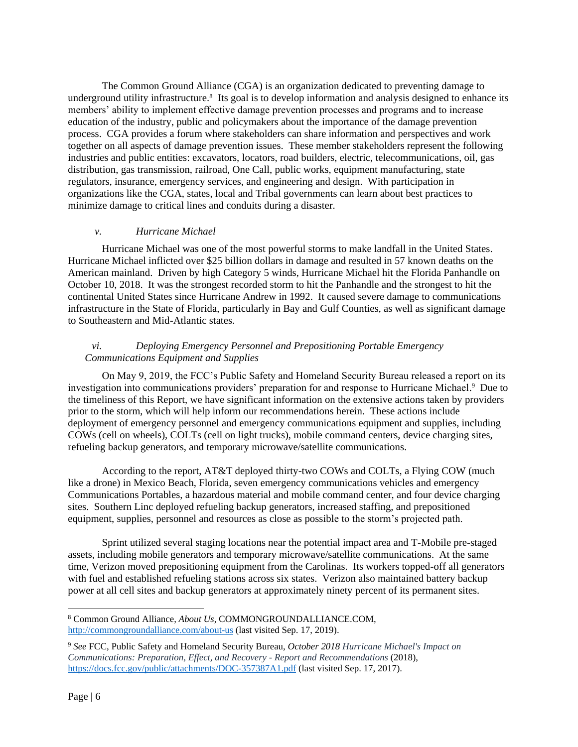The Common Ground Alliance (CGA) is an organization dedicated to preventing damage to underground utility infrastructure.<sup>8</sup> Its goal is to develop information and analysis designed to enhance its members' ability to implement effective damage prevention processes and programs and to increase education of the industry, public and policymakers about the importance of the damage prevention process. CGA provides a forum where stakeholders can share information and perspectives and work together on all aspects of damage prevention issues. These member stakeholders represent the following industries and public entities: excavators, locators, road builders, electric, telecommunications, oil, gas distribution, gas transmission, railroad, One Call, public works, equipment manufacturing, state regulators, insurance, emergency services, and engineering and design. With participation in organizations like the CGA, states, local and Tribal governments can learn about best practices to minimize damage to critical lines and conduits during a disaster.

#### *v. Hurricane Michael*

Hurricane Michael was one of the most powerful storms to make landfall in the United States. Hurricane Michael inflicted over \$25 billion dollars in damage and resulted in 57 known deaths on the American mainland. Driven by high Category 5 winds, Hurricane Michael hit the Florida Panhandle on October 10, 2018. It was the strongest recorded storm to hit the Panhandle and the strongest to hit the continental United States since Hurricane Andrew in 1992. It caused severe damage to communications infrastructure in the State of Florida, particularly in Bay and Gulf Counties, as well as significant damage to Southeastern and Mid-Atlantic states.

## *vi. Deploying Emergency Personnel and Prepositioning Portable Emergency Communications Equipment and Supplies*

On May 9, 2019, the FCC's Public Safety and Homeland Security Bureau released a report on its investigation into communications providers' preparation for and response to Hurricane Michael. 9 Due to the timeliness of this Report, we have significant information on the extensive actions taken by providers prior to the storm, which will help inform our recommendations herein. These actions include deployment of emergency personnel and emergency communications equipment and supplies, including COWs (cell on wheels), COLTs (cell on light trucks), mobile command centers, device charging sites, refueling backup generators, and temporary microwave/satellite communications.

According to the report, AT&T deployed thirty-two COWs and COLTs, a Flying COW (much like a drone) in Mexico Beach, Florida, seven emergency communications vehicles and emergency Communications Portables, a hazardous material and mobile command center, and four device charging sites. Southern Linc deployed refueling backup generators, increased staffing, and prepositioned equipment, supplies, personnel and resources as close as possible to the storm's projected path.

Sprint utilized several staging locations near the potential impact area and T-Mobile pre-staged assets, including mobile generators and temporary microwave/satellite communications. At the same time, Verizon moved prepositioning equipment from the Carolinas. Its workers topped-off all generators with fuel and established refueling stations across six states. Verizon also maintained battery backup power at all cell sites and backup generators at approximately ninety percent of its permanent sites.

 $\overline{\phantom{a}}$ 

<sup>8</sup> Common Ground Alliance, *About Us*, COMMONGROUNDALLIANCE.COM, <http://commongroundalliance.com/about-us> (last visited Sep. 17, 2019).

<sup>9</sup> *See* FCC, Public Safety and Homeland Security Bureau, *October 2018 Hurricane Michael's Impact on Communications: Preparation, Effect, and Recovery - Report and Recommendations* (2018), <https://docs.fcc.gov/public/attachments/DOC-357387A1.pdf> (last visited Sep. 17, 2017).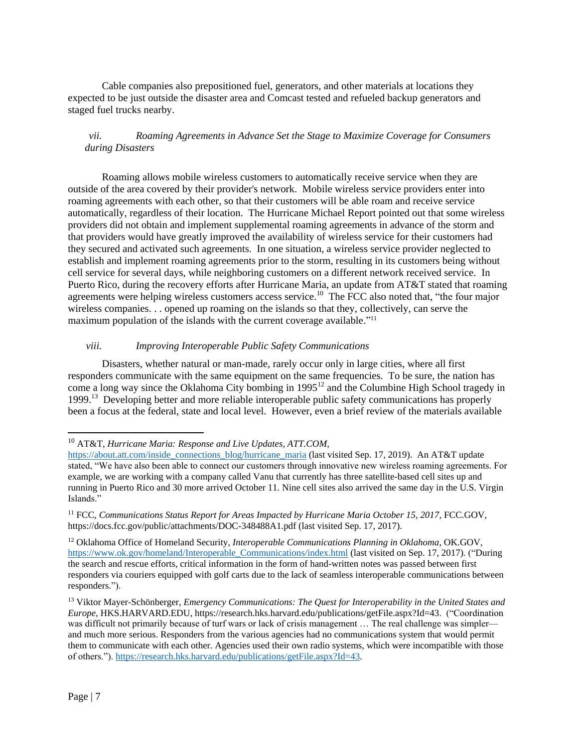Cable companies also prepositioned fuel, generators, and other materials at locations they expected to be just outside the disaster area and Comcast tested and refueled backup generators and staged fuel trucks nearby.

## *vii. Roaming Agreements in Advance Set the Stage to Maximize Coverage for Consumers during Disasters*

Roaming allows mobile wireless customers to automatically receive service when they are outside of the area covered by their provider's network. Mobile wireless service providers enter into roaming agreements with each other, so that their customers will be able roam and receive service automatically, regardless of their location. The Hurricane Michael Report pointed out that some wireless providers did not obtain and implement supplemental roaming agreements in advance of the storm and that providers would have greatly improved the availability of wireless service for their customers had they secured and activated such agreements. In one situation, a wireless service provider neglected to establish and implement roaming agreements prior to the storm, resulting in its customers being without cell service for several days, while neighboring customers on a different network received service. In Puerto Rico, during the recovery efforts after Hurricane Maria, an update from AT&T stated that roaming agreements were helping wireless customers access service.<sup>10</sup> The FCC also noted that, "the four major wireless companies. . . opened up roaming on the islands so that they, collectively, can serve the maximum population of the islands with the current coverage available."<sup>11</sup>

## *viii. Improving Interoperable Public Safety Communications*

Disasters, whether natural or man-made, rarely occur only in large cities, where all first responders communicate with the same equipment on the same frequencies. To be sure, the nation has come a long way since the Oklahoma City bombing in 1995<sup>12</sup> and the Columbine High School tragedy in 1999.<sup>13</sup> Developing better and more reliable interoperable public safety communications has properly been a focus at the federal, state and local level. However, even a brief review of the materials available

 $\overline{\phantom{a}}$ 

<sup>10</sup> AT&T, *Hurricane Maria: Response and Live Updates, ATT.COM,* 

[https://about.att.com/inside\\_connections\\_blog/hurricane\\_maria](https://about.att.com/inside_connections_blog/hurricane_maria) (last visited Sep. 17, 2019). An AT&T update stated, "We have also been able to connect our customers through innovative new wireless roaming agreements. For example, we are working with a company called Vanu that currently has three satellite-based cell sites up and running in Puerto Rico and 30 more arrived October 11. Nine cell sites also arrived the same day in the U.S. Virgin Islands."

<sup>&</sup>lt;sup>11</sup> FCC, *Communications Status Report for Areas Impacted by Hurricane Maria October 15, 2017, FCC.GOV,* https://docs.fcc.gov/public/attachments/DOC-348488A1.pdf (last visited Sep. 17, 2017).

<sup>12</sup> Oklahoma Office of Homeland Security, *Interoperable Communications Planning in Oklahoma*, OK.GOV, [https://www.ok.gov/homeland/Interoperable\\_Communications/index.html](https://www.ok.gov/homeland/Interoperable_Communications/index.html) (last visited on Sep. 17, 2017). ("During the search and rescue efforts, critical information in the form of hand-written notes was passed between first responders via couriers equipped with golf carts due to the lack of seamless interoperable communications between responders.").

<sup>13</sup> Viktor Mayer-Schönberger, *Emergency Communications: The Quest for Interoperability in the United States and Europe*, HKS.HARVARD.EDU, https://research.hks.harvard.edu/publications/getFile.aspx?Id=43. ("Coordination was difficult not primarily because of turf wars or lack of crisis management ... The real challenge was simpler and much more serious. Responders from the various agencies had no communications system that would permit them to communicate with each other. Agencies used their own radio systems, which were incompatible with those of others.")[. https://research.hks.harvard.edu/publications/getFile.aspx?Id=43.](https://research.hks.harvard.edu/publications/getFile.aspx?Id=43)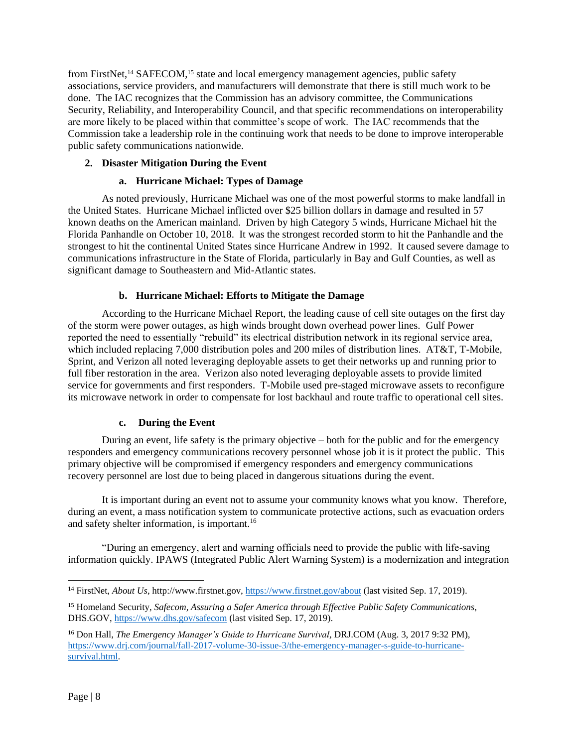from FirstNet,<sup>14</sup> SAFECOM,<sup>15</sup> state and local emergency management agencies, public safety associations, service providers, and manufacturers will demonstrate that there is still much work to be done. The IAC recognizes that the Commission has an advisory committee, the Communications Security, Reliability, and Interoperability Council, and that specific recommendations on interoperability are more likely to be placed within that committee's scope of work. The IAC recommends that the Commission take a leadership role in the continuing work that needs to be done to improve interoperable public safety communications nationwide.

## <span id="page-7-0"></span>**2. Disaster Mitigation During the Event**

## **a. Hurricane Michael: Types of Damage**

<span id="page-7-1"></span>As noted previously, Hurricane Michael was one of the most powerful storms to make landfall in the United States. Hurricane Michael inflicted over \$25 billion dollars in damage and resulted in 57 known deaths on the American mainland. Driven by high Category 5 winds, Hurricane Michael hit the Florida Panhandle on October 10, 2018. It was the strongest recorded storm to hit the Panhandle and the strongest to hit the continental United States since Hurricane Andrew in 1992. It caused severe damage to communications infrastructure in the State of Florida, particularly in Bay and Gulf Counties, as well as significant damage to Southeastern and Mid-Atlantic states.

## **b. Hurricane Michael: Efforts to Mitigate the Damage**

<span id="page-7-2"></span>According to the Hurricane Michael Report, the leading cause of cell site outages on the first day of the storm were power outages, as high winds brought down overhead power lines. Gulf Power reported the need to essentially "rebuild" its electrical distribution network in its regional service area, which included replacing 7,000 distribution poles and 200 miles of distribution lines. AT&T, T-Mobile, Sprint, and Verizon all noted leveraging deployable assets to get their networks up and running prior to full fiber restoration in the area. Verizon also noted leveraging deployable assets to provide limited service for governments and first responders. T-Mobile used pre-staged microwave assets to reconfigure its microwave network in order to compensate for lost backhaul and route traffic to operational cell sites.

## <span id="page-7-3"></span>**c. During the Event**

During an event, life safety is the primary objective – both for the public and for the emergency responders and emergency communications recovery personnel whose job it is it protect the public. This primary objective will be compromised if emergency responders and emergency communications recovery personnel are lost due to being placed in dangerous situations during the event.

It is important during an event not to assume your community knows what you know. Therefore, during an event, a mass notification system to communicate protective actions, such as evacuation orders and safety shelter information, is important.<sup>16</sup>

"During an emergency, alert and warning officials need to provide the public with life-saving information quickly. IPAWS (Integrated Public Alert Warning System) is a modernization and integration

l

<sup>&</sup>lt;sup>14</sup> FirstNet, *About Us*, http://www.firstnet.gov,<https://www.firstnet.gov/about> (last visited Sep. 17, 2019).

<sup>15</sup> Homeland Security, *Safecom, Assuring a Safer America through Effective Public Safety Communications*, DHS.GOV,<https://www.dhs.gov/safecom> (last visited Sep. 17, 2019).

<sup>&</sup>lt;sup>16</sup> Don Hall, *The Emergency Manager's Guide to Hurricane Survival*, DRJ.COM (Aug. 3, 2017 9:32 PM), [https://www.drj.com/journal/fall-2017-volume-30-issue-3/the-emergency-manager-s-guide-to-hurricane](https://www.drj.com/journal/fall-2017-volume-30-issue-3/the-emergency-manager-s-guide-to-hurricane-survival.html)[survival.html.](https://www.drj.com/journal/fall-2017-volume-30-issue-3/the-emergency-manager-s-guide-to-hurricane-survival.html)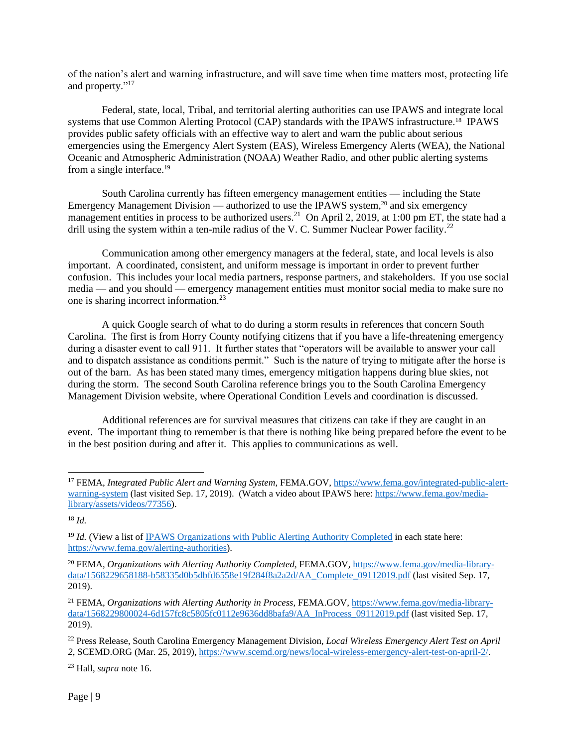of the nation's alert and warning infrastructure, and will save time when time matters most, protecting life and property."<sup>17</sup>

Federal, state, local, Tribal, and territorial alerting authorities can use IPAWS and integrate local systems that use Common Alerting Protocol (CAP) standards with the IPAWS infrastructure.<sup>18</sup> IPAWS provides public safety officials with an effective way to alert and warn the public about serious emergencies using the Emergency Alert System (EAS), Wireless Emergency Alerts (WEA), the National Oceanic and Atmospheric Administration (NOAA) Weather Radio, and other public alerting systems from a single interface.<sup>19</sup>

South Carolina currently has fifteen emergency management entities — including the State Emergency Management Division — authorized to use the IPAWS system,<sup>20</sup> and six emergency management entities in process to be authorized users.<sup>21</sup> On April 2, 2019, at 1:00 pm ET, the state had a drill using the system within a ten-mile radius of the V. C. Summer Nuclear Power facility.<sup>22</sup>

Communication among other emergency managers at the federal, state, and local levels is also important. A coordinated, consistent, and uniform message is important in order to prevent further confusion. This includes your local media partners, response partners, and stakeholders. If you use social media — and you should — emergency management entities must monitor social media to make sure no one is sharing incorrect information.<sup>23</sup>

A quick Google search of what to do during a storm results in references that concern South Carolina. The first is from Horry County notifying citizens that if you have a life-threatening emergency during a disaster event to call 911. It further states that "operators will be available to answer your call and to dispatch assistance as conditions permit." Such is the nature of trying to mitigate after the horse is out of the barn. As has been stated many times, emergency mitigation happens during blue skies, not during the storm. The second South Carolina reference brings you to the South Carolina Emergency Management Division website, where Operational Condition Levels and coordination is discussed.

Additional references are for survival measures that citizens can take if they are caught in an event. The important thing to remember is that there is nothing like being prepared before the event to be in the best position during and after it. This applies to communications as well.

l

<sup>23</sup> Hall, *supra* note 16.

<sup>17</sup> FEMA, *Integrated Public Alert and Warning System*, FEMA.GOV, [https://www.fema.gov/integrated-public-alert](https://www.fema.gov/integrated-public-alert-warning-system)[warning-system](https://www.fema.gov/integrated-public-alert-warning-system) (last visited Sep. 17, 2019). (Watch a video about IPAWS here[: https://www.fema.gov/media](https://www.fema.gov/media-library/assets/videos/77356)[library/assets/videos/77356\)](https://www.fema.gov/media-library/assets/videos/77356).

<sup>18</sup> *Id.*

<sup>&</sup>lt;sup>19</sup> *Id.* (View a list of [IPAWS Organizations with Public Alerting Authority Completed](https://www.fema.gov/integrated-public-alert-warning-system-authorities) in each state here: [https://www.fema.gov/alerting-authorities\)](https://www.fema.gov/alerting-authorities).

<sup>&</sup>lt;sup>20</sup> FEMA, *Organizations with Alerting Authority Completed,* FEMA.GOV, [https://www.fema.gov/media-library](https://www.fema.gov/media-library-data/1568229658188-b58335d0b5dbfd6558e19f284f8a2a2d/AA_Complete_09112019.pdf)[data/1568229658188-b58335d0b5dbfd6558e19f284f8a2a2d/AA\\_Complete\\_09112019.pdf](https://www.fema.gov/media-library-data/1568229658188-b58335d0b5dbfd6558e19f284f8a2a2d/AA_Complete_09112019.pdf) (last visited Sep. 17, 2019).

<sup>21</sup> FEMA, *Organizations with Alerting Authority in Process,* FEMA.GOV*,* [https://www.fema.gov/media-library](https://www.fema.gov/media-library-data/1568229800024-6d157fc8c5805fc0112e9636dd8bafa9/AA_InProcess_09112019.pdf)[data/1568229800024-6d157fc8c5805fc0112e9636dd8bafa9/AA\\_InProcess\\_09112019.pdf](https://www.fema.gov/media-library-data/1568229800024-6d157fc8c5805fc0112e9636dd8bafa9/AA_InProcess_09112019.pdf) (last visited Sep. 17, 2019).

<sup>22</sup> Press Release, South Carolina Emergency Management Division, *Local Wireless Emergency Alert Test on April 2*, SCEMD.ORG (Mar. 25, 2019), [https://www.scemd.org/news/local-wireless-emergency-alert-test-on-april-2/.](https://www.scemd.org/news/local-wireless-emergency-alert-test-on-april-2/)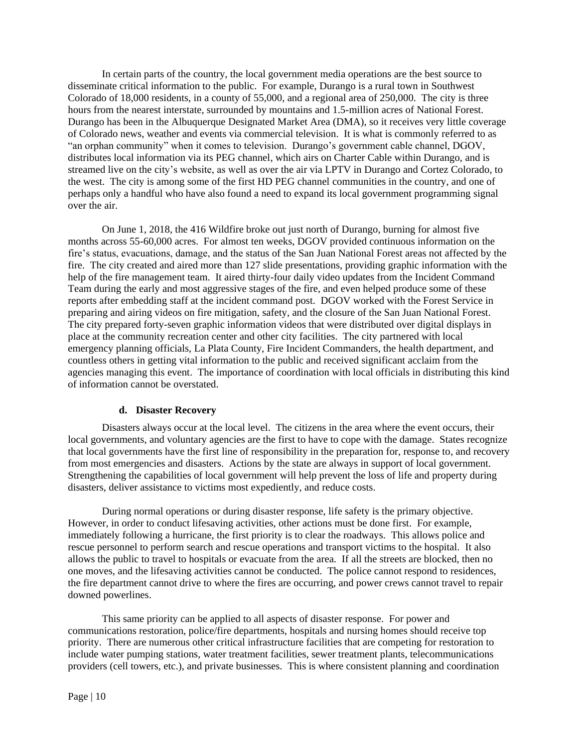In certain parts of the country, the local government media operations are the best source to disseminate critical information to the public. For example, Durango is a rural town in Southwest Colorado of 18,000 residents, in a county of 55,000, and a regional area of 250,000. The city is three hours from the nearest interstate, surrounded by mountains and 1.5-million acres of National Forest. Durango has been in the Albuquerque Designated Market Area (DMA), so it receives very little coverage of Colorado news, weather and events via commercial television. It is what is commonly referred to as "an orphan community" when it comes to television. Durango's government cable channel, DGOV, distributes local information via its PEG channel, which airs on Charter Cable within Durango, and is streamed live on the city's website, as well as over the air via LPTV in Durango and Cortez Colorado, to the west. The city is among some of the first HD PEG channel communities in the country, and one of perhaps only a handful who have also found a need to expand its local government programming signal over the air.

On June 1, 2018, the 416 Wildfire broke out just north of Durango, burning for almost five months across 55-60,000 acres. For almost ten weeks, DGOV provided continuous information on the fire's status, evacuations, damage, and the status of the San Juan National Forest areas not affected by the fire. The city created and aired more than 127 slide presentations, providing graphic information with the help of the fire management team. It aired thirty-four daily video updates from the Incident Command Team during the early and most aggressive stages of the fire, and even helped produce some of these reports after embedding staff at the incident command post. DGOV worked with the Forest Service in preparing and airing videos on fire mitigation, safety, and the closure of the San Juan National Forest. The city prepared forty-seven graphic information videos that were distributed over digital displays in place at the community recreation center and other city facilities. The city partnered with local emergency planning officials, La Plata County, Fire Incident Commanders, the health department, and countless others in getting vital information to the public and received significant acclaim from the agencies managing this event. The importance of coordination with local officials in distributing this kind of information cannot be overstated.

#### **d. Disaster Recovery**

<span id="page-9-0"></span>Disasters always occur at the local level. The citizens in the area where the event occurs, their local governments, and voluntary agencies are the first to have to cope with the damage. States recognize that local governments have the first line of responsibility in the preparation for, response to, and recovery from most emergencies and disasters. Actions by the state are always in support of local government. Strengthening the capabilities of local government will help prevent the loss of life and property during disasters, deliver assistance to victims most expediently, and reduce costs.

During normal operations or during disaster response, life safety is the primary objective. However, in order to conduct lifesaving activities, other actions must be done first. For example, immediately following a hurricane, the first priority is to clear the roadways. This allows police and rescue personnel to perform search and rescue operations and transport victims to the hospital. It also allows the public to travel to hospitals or evacuate from the area. If all the streets are blocked, then no one moves, and the lifesaving activities cannot be conducted. The police cannot respond to residences, the fire department cannot drive to where the fires are occurring, and power crews cannot travel to repair downed powerlines.

This same priority can be applied to all aspects of disaster response. For power and communications restoration, police/fire departments, hospitals and nursing homes should receive top priority. There are numerous other critical infrastructure facilities that are competing for restoration to include water pumping stations, water treatment facilities, sewer treatment plants, telecommunications providers (cell towers, etc.), and private businesses. This is where consistent planning and coordination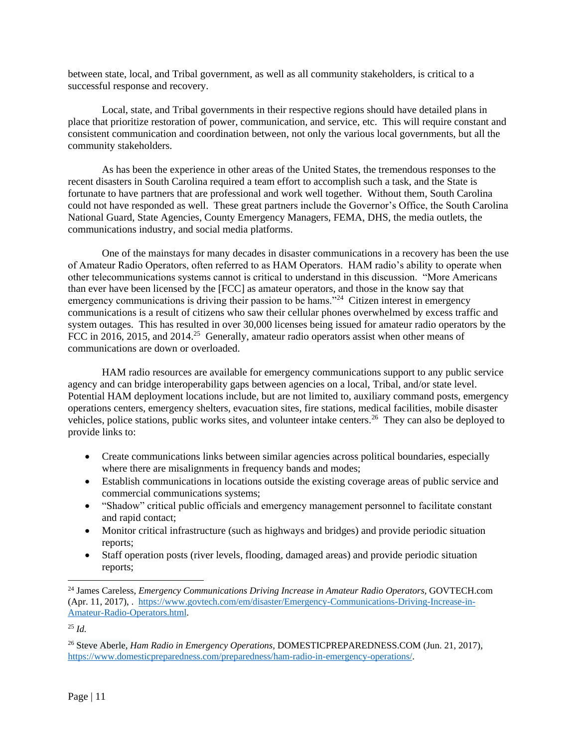between state, local, and Tribal government, as well as all community stakeholders, is critical to a successful response and recovery.

Local, state, and Tribal governments in their respective regions should have detailed plans in place that prioritize restoration of power, communication, and service, etc. This will require constant and consistent communication and coordination between, not only the various local governments, but all the community stakeholders.

As has been the experience in other areas of the United States, the tremendous responses to the recent disasters in South Carolina required a team effort to accomplish such a task, and the State is fortunate to have partners that are professional and work well together. Without them, South Carolina could not have responded as well. These great partners include the Governor's Office, the South Carolina National Guard, State Agencies, County Emergency Managers, FEMA, DHS, the media outlets, the communications industry, and social media platforms.

One of the mainstays for many decades in disaster communications in a recovery has been the use of Amateur Radio Operators, often referred to as HAM Operators. HAM radio's ability to operate when other telecommunications systems cannot is critical to understand in this discussion. "More Americans than ever have been licensed by the [FCC] as amateur operators, and those in the know say that emergency communications is driving their passion to be hams."<sup>24</sup> Citizen interest in emergency communications is a result of citizens who saw their cellular phones overwhelmed by excess traffic and system outages. This has resulted in over 30,000 licenses being issued for amateur radio operators by the FCC in 2016, 2015, and 2014.<sup>25</sup> Generally, amateur radio operators assist when other means of communications are down or overloaded.

HAM radio resources are available for emergency communications support to any public service agency and can bridge interoperability gaps between agencies on a local, Tribal, and/or state level. Potential HAM deployment locations include, but are not limited to, auxiliary command posts, emergency operations centers, emergency shelters, evacuation sites, fire stations, medical facilities, mobile disaster vehicles, police stations, public works sites, and volunteer intake centers.<sup>26</sup> They can also be deployed to provide links to:

- Create communications links between similar agencies across political boundaries, especially where there are misalignments in frequency bands and modes;
- Establish communications in locations outside the existing coverage areas of public service and commercial communications systems;
- "Shadow" critical public officials and emergency management personnel to facilitate constant and rapid contact;
- Monitor critical infrastructure (such as highways and bridges) and provide periodic situation reports;
- Staff operation posts (river levels, flooding, damaged areas) and provide periodic situation reports;

l

<sup>&</sup>lt;sup>24</sup> James Careless, *Emergency Communications Driving Increase in Amateur Radio Operators*, GOVTECH.com (Apr. 11, 2017), . [https://www.govtech.com/em/disaster/Emergency-Communications-Driving-Increase-in-](https://www.govtech.com/em/disaster/Emergency-Communications-Driving-Increase-in-Amateur-Radio-Operators.html)[Amateur-Radio-Operators.html.](https://www.govtech.com/em/disaster/Emergency-Communications-Driving-Increase-in-Amateur-Radio-Operators.html)

<sup>25</sup> *Id.*

<sup>26</sup> Steve Aberle, *Ham Radio in Emergency Operations,* DOMESTICPREPAREDNESS.COM (Jun. 21, 2017)*,* [https://www.domesticpreparedness.com/preparedness/ham-radio-in-emergency-operations/.](https://www.domesticpreparedness.com/preparedness/ham-radio-in-emergency-operations/)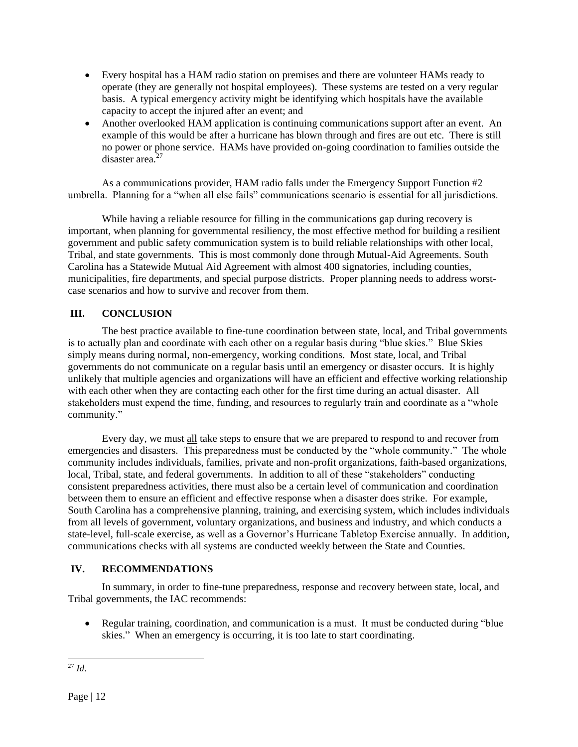- Every hospital has a HAM radio station on premises and there are volunteer HAMs ready to operate (they are generally not hospital employees). These systems are tested on a very regular basis. A typical emergency activity might be identifying which hospitals have the available capacity to accept the injured after an event; and
- Another overlooked HAM application is continuing communications support after an event. An example of this would be after a hurricane has blown through and fires are out etc. There is still no power or phone service. HAMs have provided on-going coordination to families outside the disaster area.<sup>27</sup>

As a communications provider, HAM radio falls under the Emergency Support Function #2 umbrella. Planning for a "when all else fails" communications scenario is essential for all jurisdictions.

While having a reliable resource for filling in the communications gap during recovery is important, when planning for governmental resiliency, the most effective method for building a resilient government and public safety communication system is to build reliable relationships with other local, Tribal, and state governments. This is most commonly done through Mutual-Aid Agreements. South Carolina has a Statewide Mutual Aid Agreement with almost 400 signatories, including counties, municipalities, fire departments, and special purpose districts. Proper planning needs to address worstcase scenarios and how to survive and recover from them.

## <span id="page-11-0"></span>**III. CONCLUSION**

The best practice available to fine-tune coordination between state, local, and Tribal governments is to actually plan and coordinate with each other on a regular basis during "blue skies." Blue Skies simply means during normal, non-emergency, working conditions. Most state, local, and Tribal governments do not communicate on a regular basis until an emergency or disaster occurs. It is highly unlikely that multiple agencies and organizations will have an efficient and effective working relationship with each other when they are contacting each other for the first time during an actual disaster. All stakeholders must expend the time, funding, and resources to regularly train and coordinate as a "whole community."

Every day, we must all take steps to ensure that we are prepared to respond to and recover from emergencies and disasters. This preparedness must be conducted by the "whole community." The whole community includes individuals, families, private and non-profit organizations, faith-based organizations, local, Tribal, state, and federal governments. In addition to all of these "stakeholders" conducting consistent preparedness activities, there must also be a certain level of communication and coordination between them to ensure an efficient and effective response when a disaster does strike. For example, South Carolina has a comprehensive planning, training, and exercising system, which includes individuals from all levels of government, voluntary organizations, and business and industry, and which conducts a state-level, full-scale exercise, as well as a Governor's Hurricane Tabletop Exercise annually. In addition, communications checks with all systems are conducted weekly between the State and Counties.

## <span id="page-11-1"></span>**IV. RECOMMENDATIONS**

In summary, in order to fine-tune preparedness, response and recovery between state, local, and Tribal governments, the IAC recommends:

• Regular training, coordination, and communication is a must. It must be conducted during "blue" skies." When an emergency is occurring, it is too late to start coordinating.

l <sup>27</sup> *Id*.